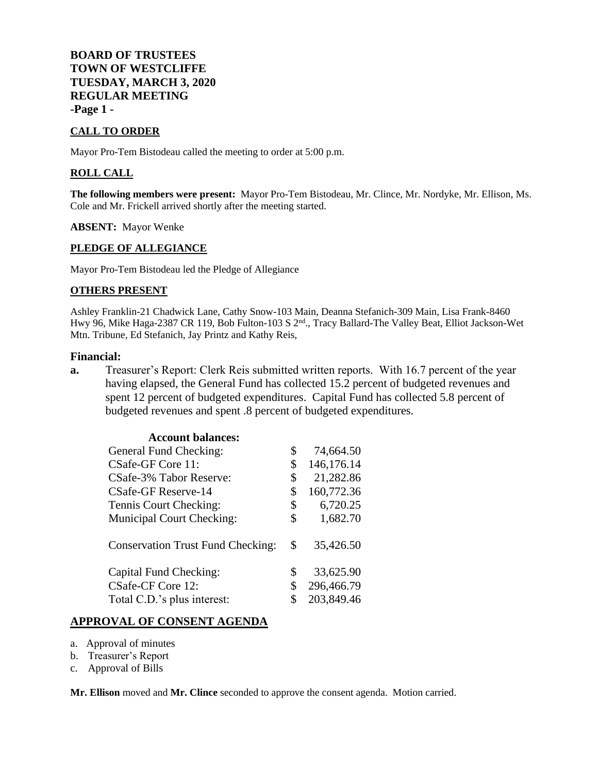**BOARD OF TRUSTEES TOWN OF WESTCLIFFE TUESDAY, MARCH 3, 2020 REGULAR MEETING -Page 1 -**

### **CALL TO ORDER**

Mayor Pro-Tem Bistodeau called the meeting to order at 5:00 p.m.

### **ROLL CALL**

**The following members were present:** Mayor Pro-Tem Bistodeau, Mr. Clince, Mr. Nordyke, Mr. Ellison, Ms. Cole and Mr. Frickell arrived shortly after the meeting started.

#### **ABSENT:** Mayor Wenke

### **PLEDGE OF ALLEGIANCE**

Mayor Pro-Tem Bistodeau led the Pledge of Allegiance

#### **OTHERS PRESENT**

Ashley Franklin-21 Chadwick Lane, Cathy Snow-103 Main, Deanna Stefanich-309 Main, Lisa Frank-8460 Hwy 96, Mike Haga-2387 CR 119, Bob Fulton-103 S 2nd., Tracy Ballard-The Valley Beat, Elliot Jackson-Wet Mtn. Tribune, Ed Stefanich, Jay Printz and Kathy Reis,

#### **Financial:**

**a.** Treasurer's Report: Clerk Reis submitted written reports. With 16.7 percent of the year having elapsed, the General Fund has collected 15.2 percent of budgeted revenues and spent 12 percent of budgeted expenditures. Capital Fund has collected 5.8 percent of budgeted revenues and spent .8 percent of budgeted expenditures.

| \$<br>74,664.50  |
|------------------|
| \$<br>146,176.14 |
| \$<br>21,282.86  |
| \$<br>160,772.36 |
| \$<br>6,720.25   |
| \$<br>1,682.70   |
| \$<br>35,426.50  |
| \$<br>33,625.90  |
| \$<br>296,466.79 |
| 203,849.46       |
|                  |

### **APPROVAL OF CONSENT AGENDA**

- a. Approval of minutes
- b. Treasurer's Report
- c. Approval of Bills

**Mr. Ellison** moved and **Mr. Clince** seconded to approve the consent agenda. Motion carried.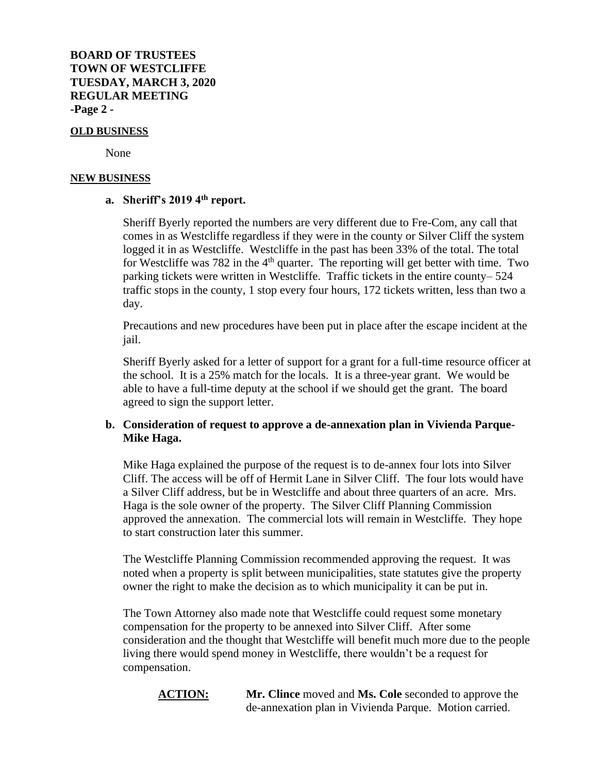### **OLD BUSINESS**

None

#### **NEW BUSINESS**

# **a. Sheriff's 2019 4th report.**

Sheriff Byerly reported the numbers are very different due to Fre-Com, any call that comes in as Westcliffe regardless if they were in the county or Silver Cliff the system logged it in as Westcliffe. Westcliffe in the past has been 33% of the total. The total for Westcliffe was 782 in the  $4<sup>th</sup>$  quarter. The reporting will get better with time. Two parking tickets were written in Westcliffe. Traffic tickets in the entire county– 524 traffic stops in the county, 1 stop every four hours, 172 tickets written, less than two a day.

Precautions and new procedures have been put in place after the escape incident at the jail.

Sheriff Byerly asked for a letter of support for a grant for a full-time resource officer at the school. It is a 25% match for the locals. It is a three-year grant. We would be able to have a full-time deputy at the school if we should get the grant. The board agreed to sign the support letter.

# **b. Consideration of request to approve a de-annexation plan in Vivienda Parque-Mike Haga.**

Mike Haga explained the purpose of the request is to de-annex four lots into Silver Cliff. The access will be off of Hermit Lane in Silver Cliff. The four lots would have a Silver Cliff address, but be in Westcliffe and about three quarters of an acre. Mrs. Haga is the sole owner of the property. The Silver Cliff Planning Commission approved the annexation. The commercial lots will remain in Westcliffe. They hope to start construction later this summer.

The Westcliffe Planning Commission recommended approving the request. It was noted when a property is split between municipalities, state statutes give the property owner the right to make the decision as to which municipality it can be put in.

The Town Attorney also made note that Westcliffe could request some monetary compensation for the property to be annexed into Silver Cliff. After some consideration and the thought that Westcliffe will benefit much more due to the people living there would spend money in Westcliffe, there wouldn't be a request for compensation.

**ACTION: Mr. Clince** moved and **Ms. Cole** seconded to approve the de-annexation plan in Vivienda Parque. Motion carried.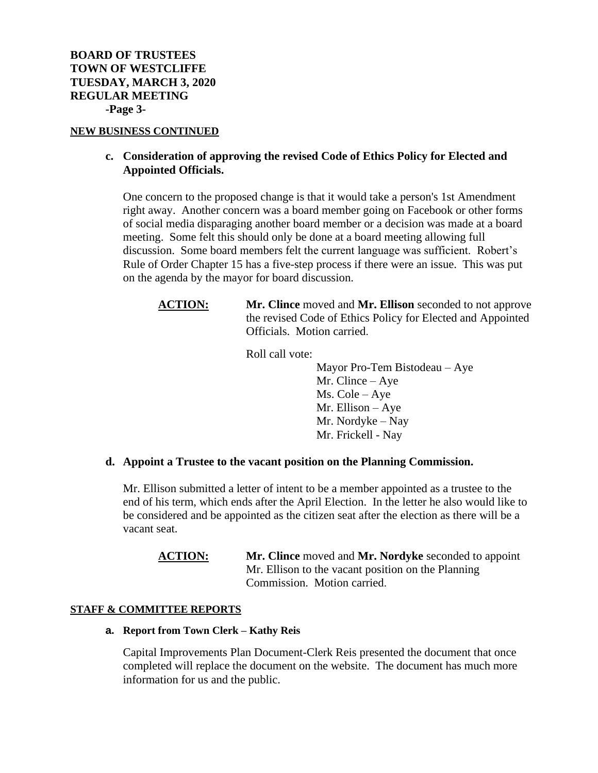### **NEW BUSINESS CONTINUED**

# **c. Consideration of approving the revised Code of Ethics Policy for Elected and Appointed Officials.**

One concern to the proposed change is that it would take a person's 1st Amendment right away. Another concern was a board member going on Facebook or other forms of social media disparaging another board member or a decision was made at a board meeting. Some felt this should only be done at a board meeting allowing full discussion. Some board members felt the current language was sufficient. Robert's Rule of Order Chapter 15 has a five-step process if there were an issue. This was put on the agenda by the mayor for board discussion.

# **ACTION: Mr. Clince** moved and **Mr. Ellison** seconded to not approve the revised Code of Ethics Policy for Elected and Appointed Officials. Motion carried.

Roll call vote:

Mayor Pro-Tem Bistodeau – Aye Mr. Clince – Aye Ms. Cole – Aye Mr. Ellison – Aye Mr. Nordyke – Nay Mr. Frickell - Nay

### **d. Appoint a Trustee to the vacant position on the Planning Commission.**

Mr. Ellison submitted a letter of intent to be a member appointed as a trustee to the end of his term, which ends after the April Election. In the letter he also would like to be considered and be appointed as the citizen seat after the election as there will be a vacant seat.

**ACTION: Mr. Clince** moved and **Mr. Nordyke** seconded to appoint Mr. Ellison to the vacant position on the Planning Commission. Motion carried.

### **STAFF & COMMITTEE REPORTS**

#### **a. Report from Town Clerk – Kathy Reis**

Capital Improvements Plan Document-Clerk Reis presented the document that once completed will replace the document on the website. The document has much more information for us and the public.